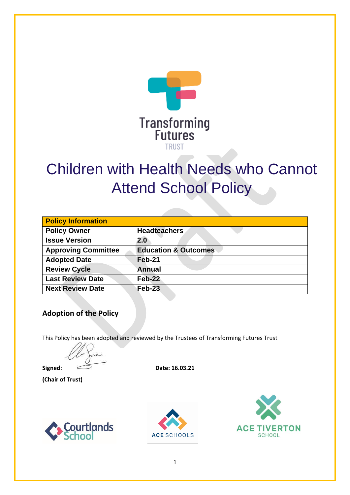

# Children with Health Needs who Cannot Attend School Policy

| <b>Policy Information</b>       |  |
|---------------------------------|--|
| <b>Headteachers</b>             |  |
| 2.0                             |  |
| <b>Education &amp; Outcomes</b> |  |
| Feb-21                          |  |
| <b>Annual</b>                   |  |
| $Feb-22$                        |  |
| Feb-23                          |  |
|                                 |  |

#### **Adoption of the Policy**

This Policy has been adopted and reviewed by the Trustees of Transforming Futures Trust

**Signed:**  $\qquad \qquad \qquad$  **Date:** 16.03.21

**(Chair of Trust)**





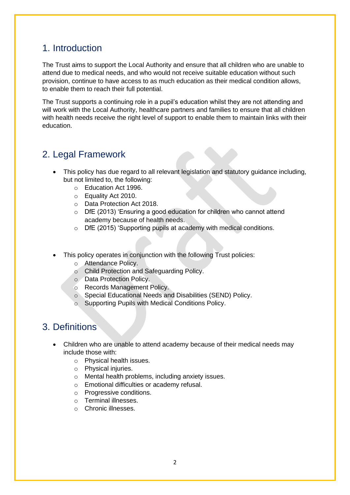#### 1. Introduction

The Trust aims to support the Local Authority and ensure that all children who are unable to attend due to medical needs, and who would not receive suitable education without such provision, continue to have access to as much education as their medical condition allows, to enable them to reach their full potential.

The Trust supports a continuing role in a pupil's education whilst they are not attending and will work with the Local Authority, healthcare partners and families to ensure that all children with health needs receive the right level of support to enable them to maintain links with their education.

## 2. Legal Framework

- This policy has due regard to all relevant legislation and statutory guidance including, but not limited to, the following:
	- o Education Act 1996.
	- o Equality Act 2010.
	- o Data Protection Act 2018.
	- o DfE (2013) 'Ensuring a good education for children who cannot attend academy because of health needs.
	- o DfE (2015) 'Supporting pupils at academy with medical conditions.
- This policy operates in conjunction with the following Trust policies:
	- o Attendance Policy.
	- o Child Protection and Safeguarding Policy.
	- o Data Protection Policy.
	- o Records Management Policy.
	- o Special Educational Needs and Disabilities (SEND) Policy.
	- o Supporting Pupils with Medical Conditions Policy.

#### 3. Definitions

- Children who are unable to attend academy because of their medical needs may include those with:
	- o Physical health issues.
	- o Physical injuries.
	- o Mental health problems, including anxiety issues.
	- o Emotional difficulties or academy refusal.
	- o Progressive conditions.
	- o Terminal illnesses.
	- o Chronic illnesses.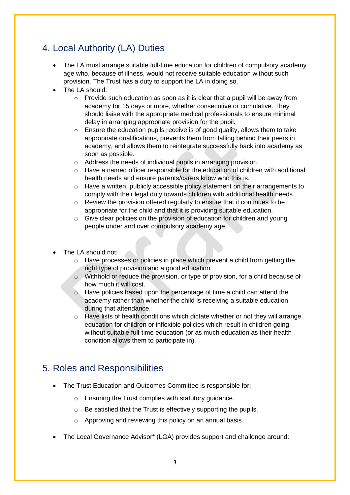# 4. Local Authority (LA) Duties

- The LA must arrange suitable full-time education for children of compulsory academy age who, because of illness, would not receive suitable education without such provision. The Trust has a duty to support the LA in doing so.
- The LA should:
	- o Provide such education as soon as it is clear that a pupil will be away from academy for 15 days or more, whether consecutive or cumulative. They should liaise with the appropriate medical professionals to ensure minimal delay in arranging appropriate provision for the pupil.
	- $\circ$  Ensure the education pupils receive is of good quality, allows them to take appropriate qualifications, prevents them from falling behind their peers in academy, and allows them to reintegrate successfully back into academy as soon as possible.
	- o Address the needs of individual pupils in arranging provision.
	- o Have a named officer responsible for the education of children with additional health needs and ensure parents/carers know who this is.
	- $\circ$  Have a written, publicly accessible policy statement on their arrangements to comply with their legal duty towards children with additional health needs.
	- o Review the provision offered regularly to ensure that it continues to be appropriate for the child and that it is providing suitable education.
	- o Give clear policies on the provision of education for children and young people under and over compulsory academy age.
- The LA should not:
	- o Have processes or policies in place which prevent a child from getting the right type of provision and a good education.
	- o Withhold or reduce the provision, or type of provision, for a child because of how much it will cost.
	- o Have policies based upon the percentage of time a child can attend the academy rather than whether the child is receiving a suitable education during that attendance.
	- $\circ$  Have lists of health conditions which dictate whether or not they will arrange education for children or inflexible policies which result in children going without suitable full-time education (or as much education as their health condition allows them to participate in).

## 5. Roles and Responsibilities

- The Trust Education and Outcomes Committee is responsible for:
	- o Ensuring the Trust complies with statutory guidance.
	- o Be satisfied that the Trust is effectively supporting the pupils.
	- o Approving and reviewing this policy on an annual basis.
- The Local Governance Advisor\* (LGA) provides support and challenge around: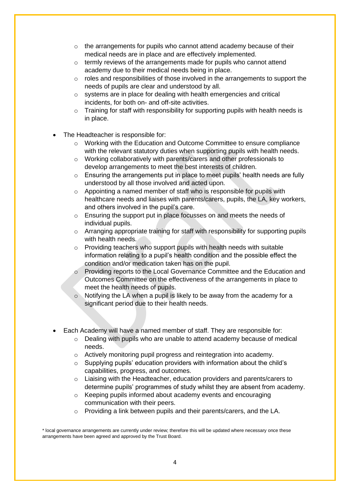- $\circ$  the arrangements for pupils who cannot attend academy because of their medical needs are in place and are effectively implemented.
- $\circ$  termly reviews of the arrangements made for pupils who cannot attend academy due to their medical needs being in place.
- $\circ$  roles and responsibilities of those involved in the arrangements to support the needs of pupils are clear and understood by all.
- o systems are in place for dealing with health emergencies and critical incidents, for both on- and off-site activities.
- $\circ$  Training for staff with responsibility for supporting pupils with health needs is in place.
- The Headteacher is responsible for:
	- $\circ$  Working with the Education and Outcome Committee to ensure compliance with the relevant statutory duties when supporting pupils with health needs.
	- o Working collaboratively with parents/carers and other professionals to develop arrangements to meet the best interests of children.
	- $\circ$  Ensuring the arrangements put in place to meet pupils' health needs are fully understood by all those involved and acted upon.
	- $\circ$  Appointing a named member of staff who is responsible for pupils with healthcare needs and liaises with parents/carers, pupils, the LA, key workers, and others involved in the pupil's care.
	- o Ensuring the support put in place focusses on and meets the needs of individual pupils.
	- $\circ$  Arranging appropriate training for staff with responsibility for supporting pupils with health needs.
	- o Providing teachers who support pupils with health needs with suitable information relating to a pupil's health condition and the possible effect the condition and/or medication taken has on the pupil.
	- o Providing reports to the Local Governance Committee and the Education and Outcomes Committee on the effectiveness of the arrangements in place to meet the health needs of pupils.
	- o Notifying the LA when a pupil is likely to be away from the academy for a significant period due to their health needs.
- Each Academy will have a named member of staff. They are responsible for:
	- $\circ$  Dealing with pupils who are unable to attend academy because of medical needs.
	- o Actively monitoring pupil progress and reintegration into academy.
	- $\circ$  Supplying pupils' education providers with information about the child's capabilities, progress, and outcomes.
	- o Liaising with the Headteacher, education providers and parents/carers to determine pupils' programmes of study whilst they are absent from academy.
	- o Keeping pupils informed about academy events and encouraging communication with their peers.
	- o Providing a link between pupils and their parents/carers, and the LA.

<sup>\*</sup> local governance arrangements are currently under review; therefore this will be updated where necessary once these arrangements have been agreed and approved by the Trust Board.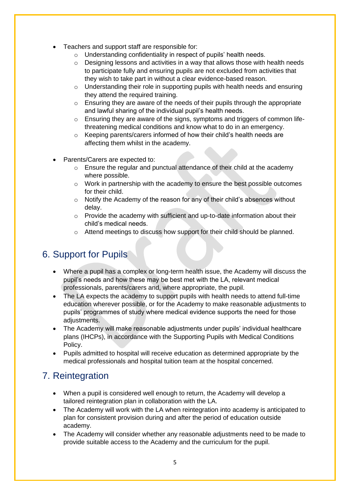- Teachers and support staff are responsible for:
	- o Understanding confidentiality in respect of pupils' health needs.
	- $\circ$  Designing lessons and activities in a way that allows those with health needs to participate fully and ensuring pupils are not excluded from activities that they wish to take part in without a clear evidence-based reason.
	- o Understanding their role in supporting pupils with health needs and ensuring they attend the required training.
	- o Ensuring they are aware of the needs of their pupils through the appropriate and lawful sharing of the individual pupil's health needs.
	- o Ensuring they are aware of the signs, symptoms and triggers of common lifethreatening medical conditions and know what to do in an emergency.
	- o Keeping parents/carers informed of how their child's health needs are affecting them whilst in the academy.
- Parents/Carers are expected to:
	- o Ensure the regular and punctual attendance of their child at the academy where possible.
	- o Work in partnership with the academy to ensure the best possible outcomes for their child.
	- $\circ$  Notify the Academy of the reason for any of their child's absences without delay.
	- $\circ$  Provide the academy with sufficient and up-to-date information about their child's medical needs.
	- o Attend meetings to discuss how support for their child should be planned.

## 6. Support for Pupils

- Where a pupil has a complex or long-term health issue, the Academy will discuss the pupil's needs and how these may be best met with the LA, relevant medical professionals, parents/carers and, where appropriate, the pupil.
- The LA expects the academy to support pupils with health needs to attend full-time education wherever possible, or for the Academy to make reasonable adjustments to pupils' programmes of study where medical evidence supports the need for those adjustments.
- The Academy will make reasonable adjustments under pupils' individual healthcare plans (IHCPs), in accordance with the Supporting Pupils with Medical Conditions Policy.
- Pupils admitted to hospital will receive education as determined appropriate by the medical professionals and hospital tuition team at the hospital concerned.

## 7. Reintegration

- When a pupil is considered well enough to return, the Academy will develop a tailored reintegration plan in collaboration with the LA.
- The Academy will work with the LA when reintegration into academy is anticipated to plan for consistent provision during and after the period of education outside academy.
- The Academy will consider whether any reasonable adjustments need to be made to provide suitable access to the Academy and the curriculum for the pupil.